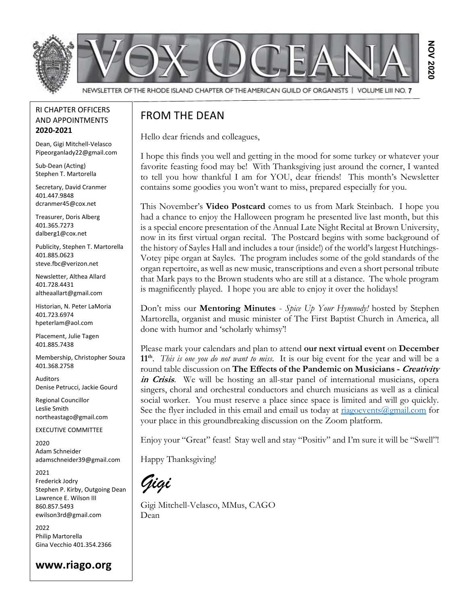

#### RI CHAPTER OFFICERS AND APPOINTMENTS 2020-2021

Dean, Gigi Mitchell-Velasco Pipeorganlady22@gmail.com

Sub-Dean (Acting) Stephen T. Martorella

Secretary, David Cranmer 401.447.9848 dcranmer45@cox.net

Treasurer, Doris Alberg 401.365.7273 dalberg1@cox.net

Publicity, Stephen T. Martorella 401.885.0623 steve.fbc@verizon.net

Newsletter, Althea Allard 401.728.4431 altheaallart@gmail.com

Historian, N. Peter LaMoria 401.723.6974 hpeterlam@aol.com

Placement, Julie Tagen 401.885.7438

Membership, Christopher Souza 401.368.2758

Auditors Denise Petrucci, Jackie Gourd

Regional Councillor Leslie Smith northeastago@gmail.com

EXECUTIVE COMMITTEE

2020 Adam Schneider adamschneider39@gmail.com

2021 Frederick Jodry Stephen P. Kirby, Outgoing Dean Lawrence E. Wilson III 860.857.5493 ewilson3rd@gmail.com

2022 Philip Martorella Gina Vecchio 401.354.2366

www.riago.org

#### FROM THE DEAN

Hello dear friends and colleagues,

I hope this finds you well and getting in the mood for some turkey or whatever your favorite feasting food may be! With Thanksgiving just around the corner, I wanted to tell you how thankful I am for YOU, dear friends! This month's Newsletter contains some goodies you won't want to miss, prepared especially for you.

This November's Video Postcard comes to us from Mark Steinbach. I hope you had a chance to enjoy the Halloween program he presented live last month, but this is a special encore presentation of the Annual Late Night Recital at Brown University, now in its first virtual organ recital. The Postcard begins with some background of the history of Sayles Hall and includes a tour (inside!) of the world's largest Hutchings-Votey pipe organ at Sayles. The program includes some of the gold standards of the organ repertoire, as well as new music, transcriptions and even a short personal tribute that Mark pays to the Brown students who are still at a distance. The whole program is magnificently played. I hope you are able to enjoy it over the holidays! Although second the method contribution of the DEAN CONTROL CONTROL CONTROL CONTROL CONTROL CONTROL CONTROL CONTROL CONTROL CONTROL CONTROL CONTROL CONTROL CONTROL CONTROL CONTROL CONTROL CONTROL CONTROL CONTROL CONTROL C

Don't miss our **Mentoring Minutes** - Spice Up Your Hymnody! hosted by Stephen Martorella, organist and music minister of The First Baptist Church in America, all done with humor and 'scholarly whimsy'!

Please mark your calendars and plan to attend our next virtual event on December 11<sup>th</sup>. *This is one you do not want to miss*. It is our big event for the year and will be a round table discussion on The Effects of the Pandemic on Musicians - Creativity in Crisis. We will be hosting an all-star panel of international musicians, opera singers, choral and orchestral conductors and church musicians as well as a clinical social worker. You must reserve a place since space is limited and will go quickly. See the flyer included in this email and email us today at  $riagoevents(\theta gmail.com)$  for your place in this groundbreaking discussion on the Zoom platform.

Enjoy your "Great" feast! Stay well and stay "Positiv" and I'm sure it will be "Swell"!

Happy Thanksgiving!

Gigi

Gigi Mitchell-Velasco, MMus, CAGO Dean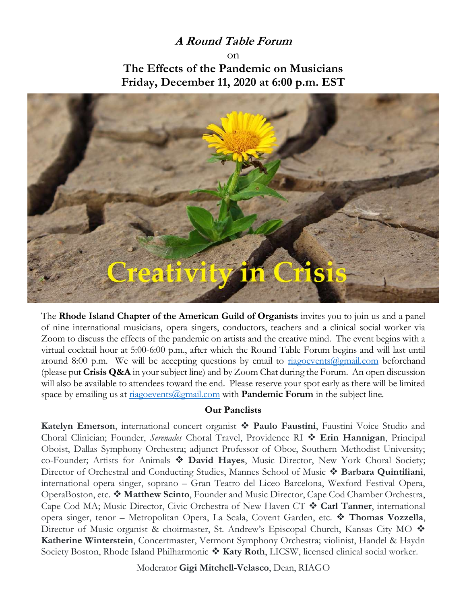### A Round Table Forum

 $\cap$ n The Effects of the Pandemic on Musicians Friday, December 11, 2020 at 6:00 p.m. EST



The Rhode Island Chapter of the American Guild of Organists invites you to join us and a panel of nine international musicians, opera singers, conductors, teachers and a clinical social worker via Zoom to discuss the effects of the pandemic on artists and the creative mind. The event begins with a virtual cocktail hour at 5:00-6:00 p.m., after which the Round Table Forum begins and will last until around 8:00 p.m. We will be accepting questions by email to  $\frac{r_{12}}{2}$  riagoevents ( $\frac{\partial \rho}{\partial m}$  beforehand (please put Crisis  $Q&A$  in your subject line) and by Zoom Chat during the Forum. An open discussion will also be available to attendees toward the end. Please reserve your spot early as there will be limited space by emailing us at  $riggevents$ @gmail.com with **Pandemic Forum** in the subject line.

#### Our Panelists

Katelyn Emerson, international concert organist  $\hat{\cdot}$  Paulo Faustini, Faustini Voice Studio and Choral Clinician; Founder, Serenades Choral Travel, Providence RI  $\triangleleft$  Erin Hannigan, Principal Oboist, Dallas Symphony Orchestra; adjunct Professor of Oboe, Southern Methodist University; co-Founder; Artists for Animals  $\bullet$  David Hayes, Music Director, New York Choral Society; Director of Orchestral and Conducting Studies, Mannes School of Music  $\cdot$  Barbara Quintiliani, international opera singer, soprano – Gran Teatro del Liceo Barcelona, Wexford Festival Opera, OperaBoston, etc.  $\clubsuit$  Matthew Scinto, Founder and Music Director, Cape Cod Chamber Orchestra, Cape Cod MA; Music Director, Civic Orchestra of New Haven CT  $\triangleleft$  Carl Tanner, international opera singer, tenor – Metropolitan Opera, La Scala, Covent Garden, etc.  $\cdot \cdot$  Thomas Vozzella, Director of Music organist & choirmaster, St. Andrew's Episcopal Church, Kansas City MO ♦ Katherine Winterstein, Concertmaster, Vermont Symphony Orchestra; violinist, Handel & Haydn Society Boston, Rhode Island Philharmonic  $\clubsuit$  Katy Roth, LICSW, licensed clinical social worker.

Moderator Gigi Mitchell-Velasco, Dean, RIAGO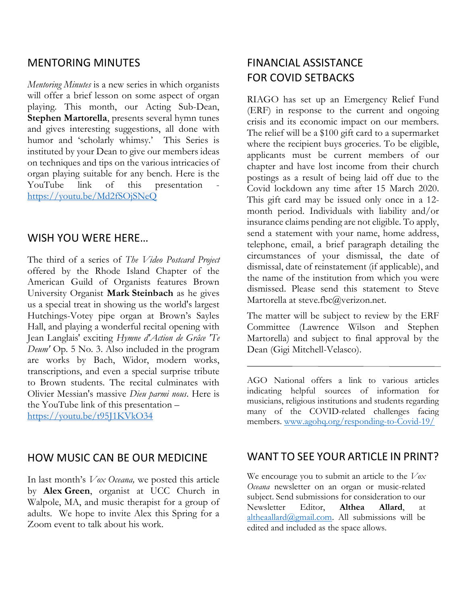### MENTORING MINUTES

Mentoring Minutes is a new series in which organists will offer a brief lesson on some aspect of organ playing. This month, our Acting Sub-Dean, Stephen Martorella, presents several hymn tunes and gives interesting suggestions, all done with humor and 'scholarly whimsy.' This Series is instituted by your Dean to give our members ideas on techniques and tips on the various intricacies of organ playing suitable for any bench. Here is the YouTube link of this presentation https://youtu.be/Md2fSOjSNeQ

#### WISH YOU WERE HERE…

The third of a series of The Video Postcard Project offered by the Rhode Island Chapter of the American Guild of Organists features Brown University Organist Mark Steinbach as he gives us a special treat in showing us the world's largest Hutchings-Votey pipe organ at Brown's Sayles Hall, and playing a wonderful recital opening with Jean Langlais' exciting Hymne d'Action de Grâce 'Te Deum' Op. 5 No. 3. Also included in the program are works by Bach, Widor, modern works, transcriptions, and even a special surprise tribute to Brown students. The recital culminates with Olivier Messian's massive Dieu parmi nous. Here is the YouTube link of this presentation – https://youtu.be/t95J1KVkO34

### HOW MUSIC CAN BE OUR MEDICINE

In last month's *Vox Oceana*, we posted this article by Alex Green, organist at UCC Church in Walpole, MA, and music therapist for a group of adults. We hope to invite Alex this Spring for a Zoom event to talk about his work.

# FINANCIAL ASSISTANCE FOR COVID SETBACKS

RIAGO has set up an Emergency Relief Fund (ERF) in response to the current and ongoing crisis and its economic impact on our members. The relief will be a \$100 gift card to a supermarket where the recipient buys groceries. To be eligible, applicants must be current members of our chapter and have lost income from their church postings as a result of being laid off due to the Covid lockdown any time after 15 March 2020. This gift card may be issued only once in a 12 month period. Individuals with liability and/or insurance claims pending are not eligible. To apply, send a statement with your name, home address, telephone, email, a brief paragraph detailing the circumstances of your dismissal, the date of dismissal, date of reinstatement (if applicable), and the name of the institution from which you were dismissed. Please send this statement to Steve Martorella at steve.fbc@verizon.net.

The matter will be subject to review by the ERF Committee (Lawrence Wilson and Stephen Martorella) and subject to final approval by the Dean (Gigi Mitchell-Velasco).

AGO National offers a link to various articles indicating helpful sources of information for musicians, religious institutions and students regarding many of the COVID-related challenges facing members. www.agohq.org/responding-to-Covid-19/

### WANT TO SEE YOUR ARTICLE IN PRINT?

We encourage you to submit an article to the  $V<sub>0</sub> x$ Oceana newsletter on an organ or music-related subject. Send submissions for consideration to our Newsletter Editor, Althea Allard, at altheaallard@gmail.com. All submissions will be edited and included as the space allows.